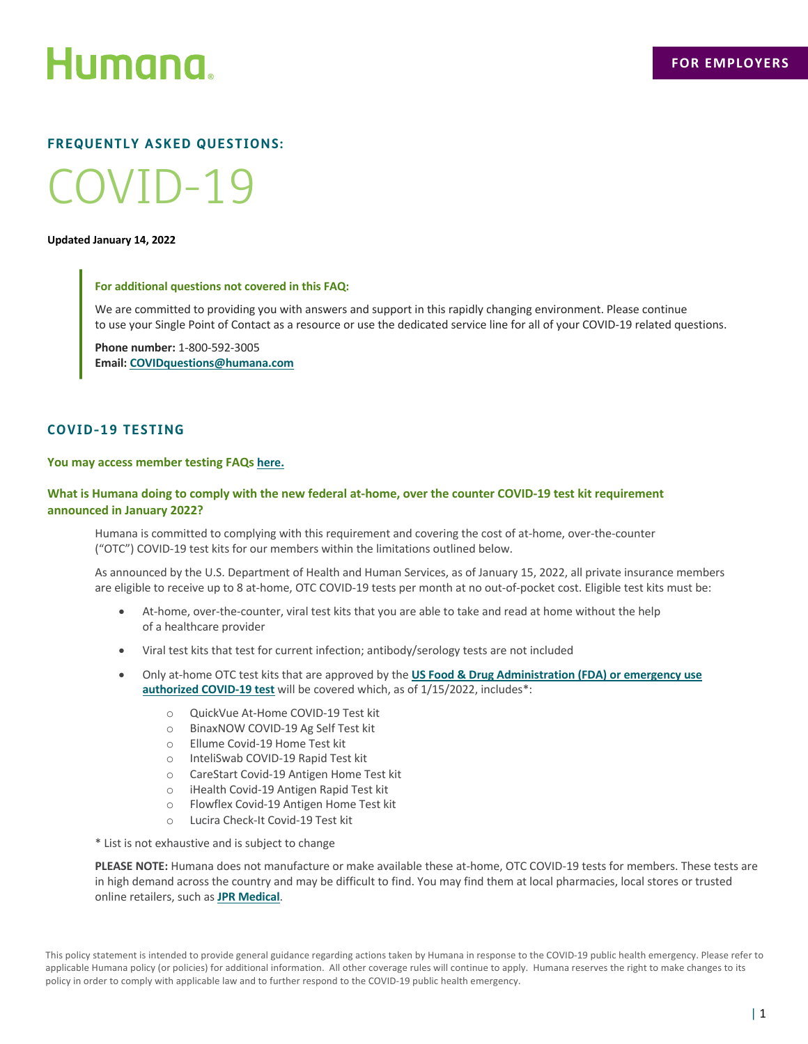

# **FREQUENTLY ASKED QUESTIONS:**

# COVID-19

#### **Updated January 14, 2022**

## **For additional questions not covered in this FAQ:**

We are committed to providing you with answers and support in this rapidly changing environment. Please continue to use your Single Point of Contact as a resource or use the dedicated service line for all of your COVID-19 related questions.

**Phone number:** 1-800-592-3005 **Email: COVIDquestions@humana.com**

# **COVID-19 TESTING**

# **You may access member testing FAQs [here.](https://www.humana.com/coronavirus/coverage-faqs)**

# **What is Humana doing to comply with the new federal at-home, over the counter COVID-19 test kit requirement announced in January 2022?**

Humana is committed to complying with this requirement and covering the cost of at-home, over-the-counter ("OTC") COVID-19 test kits for our members within the limitations outlined below.

As announced by the U.S. Department of Health and Human Services, as of January 15, 2022, all private insurance members are eligible to receive up to 8 at-home, OTC COVID-19 tests per month at no out-of-pocket cost. Eligible test kits must be:

- At-home, over-the-counter, viral test kits that you are able to take and read at home without the help of a healthcare provider
- Viral test kits that test for current infection; antibody/serology tests are not included
- Only at-home OTC test kits that are approved by the **[US Food & Drug Administration \(FDA\) or emergency use](https://www.fda.gov/medical-devices/coronavirus-disease-2019-covid-19-emergency-use-authorizations-medical-devices/in-vitro-diagnostics-euas-molecular-diagnostic-tests-sars-cov-2#individual-molecular) authorized COVID-19 test** will be covered which, as of 1/15/2022, includes\*:
	- o QuickVue At-Home COVID-19 Test kit
	- o BinaxNOW COVID-19 Ag Self Test kit
	- o Ellume Covid-19 Home Test kit
	- o InteliSwab COVID-19 Rapid Test kit
	- o CareStart Covid-19 Antigen Home Test kit
	- o iHealth Covid-19 Antigen Rapid Test kit
	- o Flowflex Covid-19 Antigen Home Test kit
	- o Lucira Check-It Covid-19 Test kit

\* List is not exhaustive and is subject to change

**PLEASE NOTE:** Humana does not manufacture or make available these at-home, OTC COVID-19 tests for members. These tests are in high demand across the country and may be difficult to find. You may find them at local pharmacies, local stores or trusted online retailers, such as **[JPR Medical](https://www.jprmedical.com/collections/all-products/products/ihealth-covid-19-antigen-self-test)**.

This policy statement is intended to provide general guidance regarding actions taken by Humana in response to the COVID-19 public health emergency. Please refer to applicable Humana policy (or policies) for additional information. All other coverage rules will continue to apply. Humana reserves the right to make changes to its policy in order to comply with applicable law and to further respond to the COVID-19 public health emergency.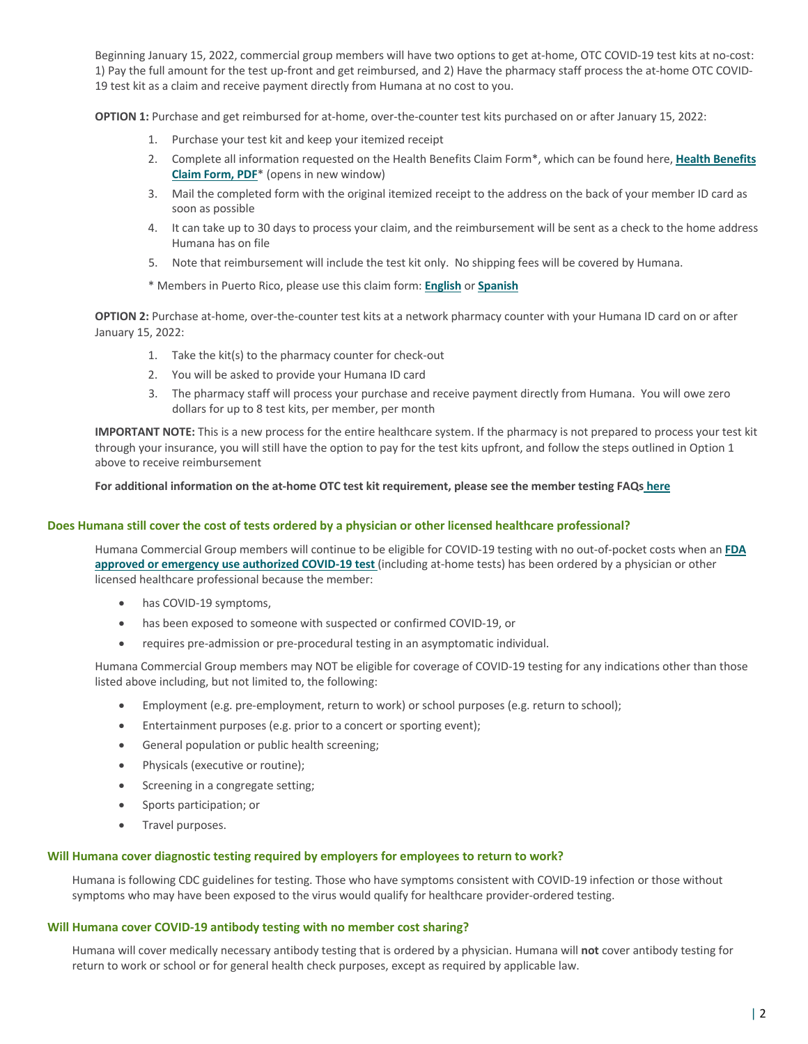Beginning January 15, 2022, commercial group members will have two options to get at-home, OTC COVID-19 test kits at no-cost: 1) Pay the full amount for the test up-front and get reimbursed, and 2) Have the pharmacy staff process the at-home OTC COVID-19 test kit as a claim and receive payment directly from Humana at no cost to you.

**OPTION 1:** Purchase and get reimbursed for at-home, over-the-counter test kits purchased on or after January 15, 2022:

- 1. Purchase your test kit and keep your itemized receipt
- 2. [Complete all information requested on the Health Benefits](https://apps.humana.com/Marketing/Documents.asp?q=cXxg3INYrceo9abvlmEMLw%3d%3d) Claim Form\*, which can be found here, **Health Benefits Claim Form, PDF**\* (opens in new window)
- 3. Mail the completed form with the original itemized receipt to the address on the back of your member ID card as soon as possible
- 4. It can take up to 30 days to process your claim, and the reimbursement will be sent as a check to the home address Humana has on file
- 5. Note that reimbursement will include the test kit only. No shipping fees will be covered by Humana.

\* Members in Puerto Rico, please use this claim form: **[English](https://www.humana.pr/wp-content/uploads/Hoja-de-reembolso-OTC-COVID_ENG_01-2022.pdf)** or **[Spanish](https://www.humana.pr/wp-content/uploads/Hoja-de-reembolso-OTC-COVID_SPA_01-2022.pdf)**

**OPTION 2:** Purchase at-home, over-the-counter test kits at a network pharmacy counter with your Humana ID card on or after January 15, 2022:

- 1. Take the kit(s) to the pharmacy counter for check-out
- 2. You will be asked to provide your Humana ID card
- 3. The pharmacy staff will process your purchase and receive payment directly from Humana. You will owe zero dollars for up to 8 test kits, per member, per month

**IMPORTANT NOTE:** This is a new process for the entire healthcare system. If the pharmacy is not prepared to process your test kit through your insurance, you will still have the option to pay for the test kits upfront, and follow the steps outlined in Option 1 above to receive reimbursement

**For additional information on the at-home OTC test kit requirement, please see the member testing FAQs [here](https://www.humana.com/coronavirus/coverage-faqs)**

## **Does Humana still cover the cost of tests ordered by a physician or other licensed healthcare professional?**

[Humana Commercial Group members will continue to be eligible for COVID-19 testing with no out-of-pocket costs when an](https://www.fda.gov/medical-devices/coronavirus-disease-2019-covid-19-emergency-use-authorizations-medical-devices/in-vitro-diagnostics-euas-molecular-diagnostic-tests-sars-cov-2#individual-molecular) **FDA approved or emergency use authorized COVID-19 test** (including at-home tests) has been ordered by a physician or other licensed healthcare professional because the member:

- has COVID-19 symptoms,
- has been exposed to someone with suspected or confirmed COVID-19, or
- requires pre-admission or pre-procedural testing in an asymptomatic individual.

Humana Commercial Group members may NOT be eligible for coverage of COVID-19 testing for any indications other than those listed above including, but not limited to, the following:

- Employment (e.g. pre-employment, return to work) or school purposes (e.g. return to school);
- Entertainment purposes (e.g. prior to a concert or sporting event);
- General population or public health screening;
- Physicals (executive or routine);
- Screening in a congregate setting;
- Sports participation; or
- Travel purposes.

# **Will Humana cover diagnostic testing required by employers for employees to return to work?**

Humana is following CDC guidelines for testing. Those who have symptoms consistent with COVID-19 infection or those without symptoms who may have been exposed to the virus would qualify for healthcare provider-ordered testing.

# **Will Humana cover COVID-19 antibody testing with no member cost sharing?**

Humana will cover medically necessary antibody testing that is ordered by a physician. Humana will **not** cover antibody testing for return to work or school or for general health check purposes, except as required by applicable law.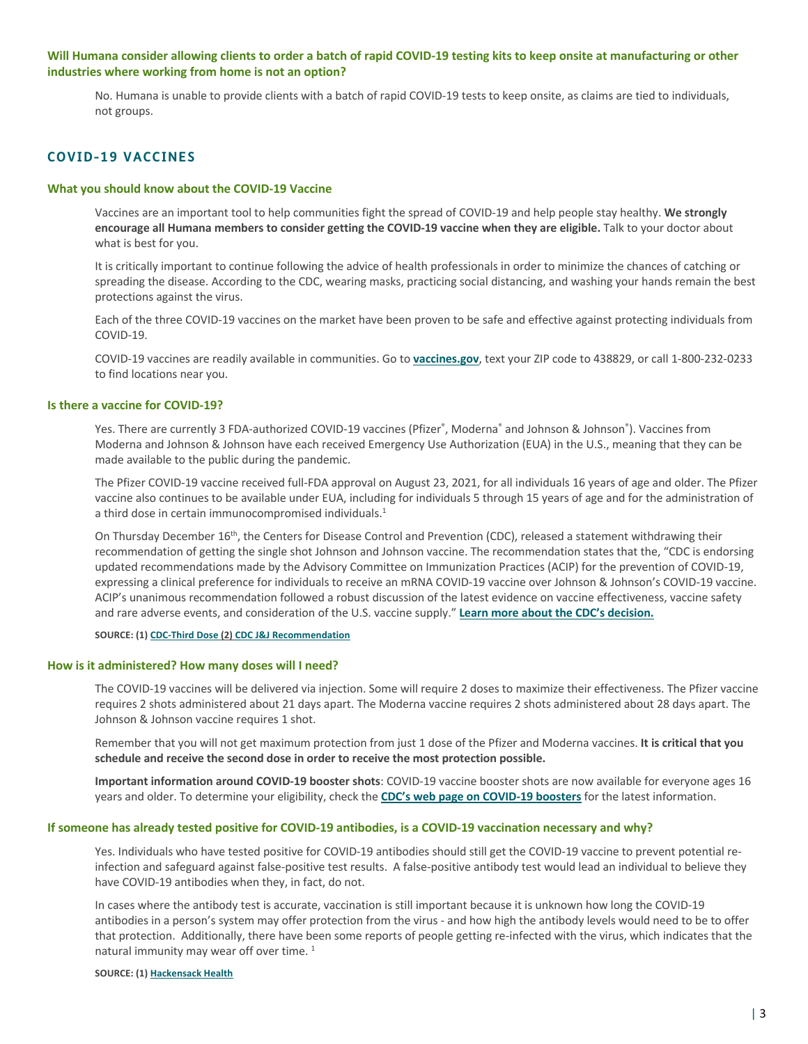# **Will Humana consider allowing clients to order a batch of rapid COVID-19 testing kits to keep onsite at manufacturing or other industries where working from home is not an option?**

No. Humana is unable to provide clients with a batch of rapid COVID-19 tests to keep onsite, as claims are tied to individuals, not groups.

# **COVID-19 VACCINES**

# **What you should know about the COVID-19 Vaccine**

Vaccines are an important tool to help communities fight the spread of COVID-19 and help people stay healthy. **We strongly encourage all Humana members to consider getting the COVID-19 vaccine when they are eligible.** Talk to your doctor about what is best for you.

It is critically important to continue following the advice of health professionals in order to minimize the chances of catching or spreading the disease. According to the CDC, wearing masks, practicing social distancing, and washing your hands remain the best protections against the virus.

Each of the three COVID-19 vaccines on the market have been proven to be safe and effective against protecting individuals from COVID-19.

COVID-19 vaccines are readily available in communities. Go to **[vaccines.gov](https://www.vaccines.gov/)**, text your ZIP code to 438829, or call 1-800-232-0233 to find locations near you.

## **Is there a vaccine for COVID-19?**

Yes. There are currently 3 FDA-authorized COVID-19 vaccines (Pfizer˚, Moderna˚ and Johnson & Johnson˚). Vaccines from Moderna and Johnson & Johnson have each received Emergency Use Authorization (EUA) in the U.S., meaning that they can be made available to the public during the pandemic.

The Pfizer COVID-19 vaccine received full-FDA approval on August 23, 2021, for all individuals 16 years of age and older. The Pfizer vaccine also continues to be available under EUA, including for individuals 5 through 15 years of age and for the administration of a third dose in certain immunocompromised individuals.<sup>1</sup>

On Thursday December 16th, the Centers for Disease Control and Prevention (CDC), released a statement withdrawing their recommendation of getting the single shot Johnson and Johnson vaccine. The recommendation states that the, "CDC is endorsing updated recommendations made by the Advisory Committee on Immunization Practices (ACIP) for the prevention of COVID-19, expressing a clinical preference for individuals to receive an mRNA COVID-19 vaccine over Johnson & Johnson's COVID-19 vaccine. ACIP's unanimous recommendation followed a robust discussion of the latest evidence on vaccine effectiveness, vaccine safety and rare adverse events, and consideration of the U.S. vaccine supply." **[Learn more about the CDC's decision.](https://www.nytimes.com/2021/12/17/health/cdc-johnson-vaccine-blood-clot.html)**

#### **SOURCE: (1) [CDC-Third Dose](https://www.cdc.gov/coronavirus/2019-ncov/vaccines/recommendations/immuno.html) (2) [CDC J&J Recommendation](https://www.nytimes.com/2021/12/17/health/cdc-johnson-vaccine-blood-clot.html)**

#### **How is it administered? How many doses will I need?**

The COVID-19 vaccines will be delivered via injection. Some will require 2 doses to maximize their effectiveness. The Pfizer vaccine requires 2 shots administered about 21 days apart. The Moderna vaccine requires 2 shots administered about 28 days apart. The Johnson & Johnson vaccine requires 1 shot.

Remember that you will not get maximum protection from just 1 dose of the Pfizer and Moderna vaccines. **It is critical that you schedule and receive the second dose in order to receive the most protection possible.**

**Important information around COVID-19 booster shots**: COVID-19 vaccine booster shots are now available for everyone ages 16 years and older. To determine your eligibility, check the **[CDC's web page on COVID-19 boosters](https://www.cdc.gov/coronavirus/2019-ncov/vaccines/booster-shot.html)** for the latest information.

#### **If someone has already tested positive for COVID-19 antibodies, is a COVID-19 vaccination necessary and why?**

Yes. Individuals who have tested positive for COVID-19 antibodies should still get the COVID-19 vaccine to prevent potential reinfection and safeguard against false-positive test results. A false-positive antibody test would lead an individual to believe they have COVID-19 antibodies when they, in fact, do not.

In cases where the antibody test is accurate, vaccination is still important because it is unknown how long the COVID-19 antibodies in a person's system may offer protection from the virus - and how high the antibody levels would need to be to offer that protection. Additionally, there have been some reports of people getting re-infected with the virus, which indicates that the natural immunity may wear off over time.<sup>1</sup>

#### **SOURCE: (1) [Hackensack Health](https://www.hackensackmeridianhealth.org/HealthU/2021/01/20/recovered-from-covid-19-why-you-still-need-a-vaccine/)**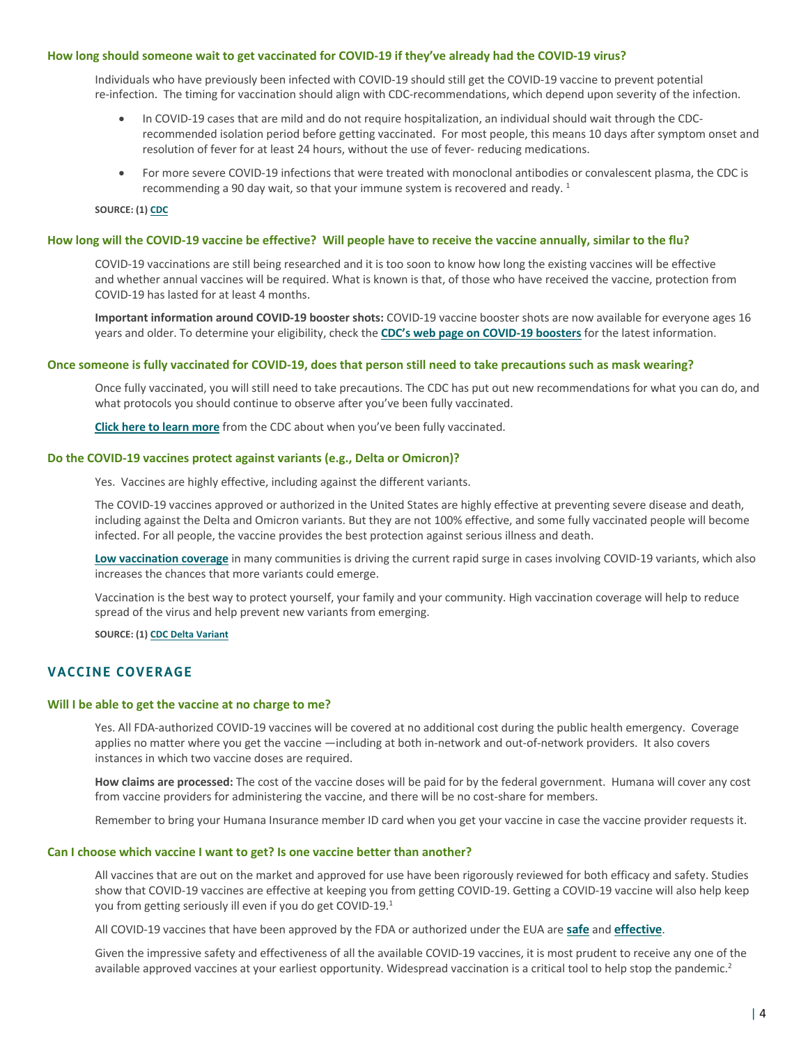#### **How long should someone wait to get vaccinated for COVID-19 if they've already had the COVID-19 virus?**

Individuals who have previously been infected with COVID-19 should still get the COVID-19 vaccine to prevent potential re-infection. The timing for vaccination should align with CDC-recommendations, which depend upon severity of the infection.

- In COVID-19 cases that are mild and do not require hospitalization, an individual should wait through the CDCrecommended isolation period before getting vaccinated. For most people, this means 10 days after symptom onset and resolution of fever for at least 24 hours, without the use of fever- reducing medications.
- For more severe COVID-19 infections that were treated with monoclonal antibodies or convalescent plasma, the CDC is recommending a 90 day wait, so that your immune system is recovered and ready.<sup>1</sup>

**SOURCE: (1) CDC**

#### **How long will the COVID-19 vaccine be effective? Will people have to receive the vaccine annually, similar to the flu?**

COVID-19 vaccinations are still being researched and it is too soon to know how long the existing vaccines will be effective and whether annual vaccines will be required. What is known is that, of those who have received the vaccine, protection from COVID-19 has lasted for at least 4 months.

**Important information around COVID-19 booster shots:** COVID-19 vaccine booster shots are now available for everyone ages 16 years and older. To determine your eligibility, check the **[CDC's web page on COVID-19 boosters](https://www.cdc.gov/coronavirus/2019-ncov/vaccines/booster-shot.html)** for the latest information.

#### **Once someone is fully vaccinated for COVID-19, does that person still need to take precautions such as mask wearing?**

Once fully vaccinated, you will still need to take precautions. The CDC has put out new recommendations for what you can do, and what protocols you should continue to observe after you've been fully vaccinated.

**[Click here to learn more](https://www.cdc.gov/coronavirus/2019-ncov/vaccines/fully-vaccinated.html)** from the CDC about when you've been fully vaccinated.

#### **Do the COVID-19 vaccines protect against variants (e.g., Delta or Omicron)?**

Yes. Vaccines are highly effective, including against the different variants.

The COVID-19 vaccines approved or authorized in the United States are highly effective at preventing severe disease and death, including against the Delta and Omicron variants. But they are not 100% effective, and some fully vaccinated people will become infected. For all people, the vaccine provides the best protection against serious illness and death.

**[Low vaccination coverage](https://covid.cdc.gov/covid-data-tracker/#vaccinations_vacc-total-admin-rate-total)** in many communities is driving the current rapid surge in cases involving COVID-19 variants, which also increases the chances that more variants could emerge.

Vaccination is the best way to protect yourself, your family and your community. High vaccination coverage will help to reduce spread of the virus and help prevent new variants from emerging.

**SOURCE: (1) [CDC Delta Variant](https://www.cdc.gov/coronavirus/2019-ncov/variants/delta-variant.html?s_cid=11504:cdc%20delta%20variant%20vaccine%20effectiveness:sem.ga:p:RG:GM:gen:PTN:FY21)**

# **VACCINE COVERAGE**

#### **Will I be able to get the vaccine at no charge to me?**

Yes. All FDA-authorized COVID-19 vaccines will be covered at no additional cost during the public health emergency. Coverage applies no matter where you get the vaccine —including at both in-network and out-of-network providers. It also covers instances in which two vaccine doses are required.

**How claims are processed:** The cost of the vaccine doses will be paid for by the federal government. Humana will cover any cost from vaccine providers for administering the vaccine, and there will be no cost-share for members.

Remember to bring your Humana Insurance member ID card when you get your vaccine in case the vaccine provider requests it.

#### **Can I choose which vaccine I want to get? Is one vaccine better than another?**

All vaccines that are out on the market and approved for use have been rigorously reviewed for both efficacy and safety. Studies show that COVID-19 vaccines are effective at keeping you from getting COVID-19. Getting a COVID-19 vaccine will also help keep you from getting seriously ill even if you do get COVID-19.1

All COVID-19 vaccines that have been approved by the FDA or authorized under the EUA are **[safe](https://www.cdc.gov/coronavirus/2019-ncov/vaccines/safety/safety-of-vaccines.html)** and **[effective](https://www.cdc.gov/coronavirus/2019-ncov/vaccines/effectiveness.html)**.

Given the impressive safety and effectiveness of all the available COVID-19 vaccines, it is most prudent to receive any one of the available approved vaccines at your earliest opportunity. Widespread vaccination is a critical tool to help stop the pandemic.<sup>2</sup>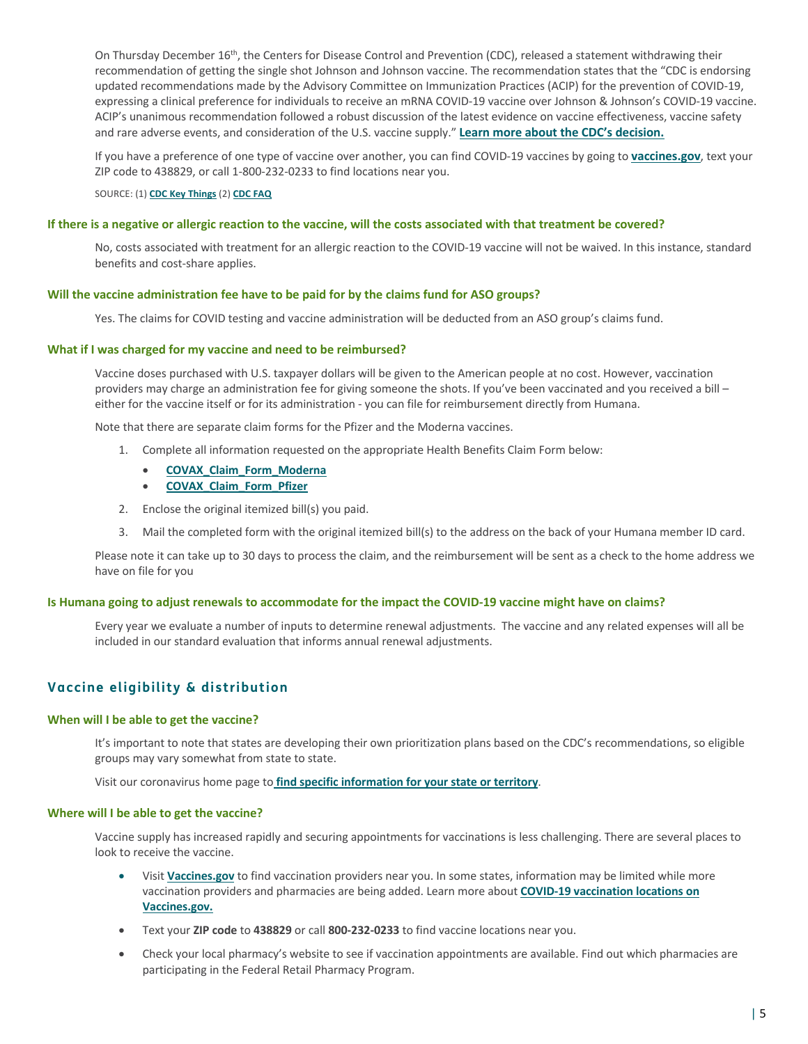On Thursday December 16th, the Centers for Disease Control and Prevention (CDC), released a statement withdrawing their recommendation of getting the single shot Johnson and Johnson vaccine. The recommendation states that the "CDC is endorsing updated recommendations made by the Advisory Committee on Immunization Practices (ACIP) for the prevention of COVID-19, expressing a clinical preference for individuals to receive an mRNA COVID-19 vaccine over Johnson & Johnson's COVID-19 vaccine. ACIP's unanimous recommendation followed a robust discussion of the latest evidence on vaccine effectiveness, vaccine safety and rare adverse events, and consideration of the U.S. vaccine supply." **[Learn more about the CDC's decision.](https://www.nytimes.com/2021/12/17/health/cdc-johnson-vaccine-blood-clot.html)**

If you have a preference of one type of vaccine over another, you can find COVID-19 vaccines by going to **[vaccines.gov](https://www.vaccines.gov/)**, text your ZIP code to 438829, or call 1-800-232-0233 to find locations near you.

SOURCE: (1) **[CDC Key Things](https://www.cdc.gov/coronavirus/2019-ncov/vaccines/keythingstoknow.html)** (2) **[CDC FAQ](https://www.cdc.gov/coronavirus/2019-ncov/vaccines/faq.html)**

## **If there is a negative or allergic reaction to the vaccine, will the costs associated with that treatment be covered?**

No, costs associated with treatment for an allergic reaction to the COVID-19 vaccine will not be waived. In this instance, standard benefits and cost-share applies.

## **Will the vaccine administration fee have to be paid for by the claims fund for ASO groups?**

Yes. The claims for COVID testing and vaccine administration will be deducted from an ASO group's claims fund.

#### **What if I was charged for my vaccine and need to be reimbursed?**

Vaccine doses purchased with U.S. taxpayer dollars will be given to the American people at no cost. However, vaccination providers may charge an administration fee for giving someone the shots. If you've been vaccinated and you received a bill either for the vaccine itself or for its administration - you can file for reimbursement directly from Humana.

Note that there are separate claim forms for the Pfizer and the Moderna vaccines.

- 1. Complete all information requested on the appropriate Health Benefits Claim Form below:
	- **[COVAX\\_Claim\\_Form\\_Moderna](https://docushare-web.apps.cf.humana.com/Marketing/docushare-app?file=4274790)**
	- **[COVAX\\_Claim\\_Form\\_Pfizer](https://docushare-web.apps.cf.humana.com/Marketing/docushare-app?file=4274803)**
- 2. Enclose the original itemized bill(s) you paid.
- 3. Mail the completed form with the original itemized bill(s) to the address on the back of your Humana member ID card.

Please note it can take up to 30 days to process the claim, and the reimbursement will be sent as a check to the home address we have on file for you

## **Is Humana going to adjust renewals to accommodate for the impact the COVID-19 vaccine might have on claims?**

Every year we evaluate a number of inputs to determine renewal adjustments. The vaccine and any related expenses will all be included in our standard evaluation that informs annual renewal adjustments.

# **Vaccine eligibility & distribution**

## **When will I be able to get the vaccine?**

It's important to note that states are developing their own prioritization plans based on the CDC's recommendations, so eligible groups may vary somewhat from state to state.

Visit our coronavirus home page to **[find specific information for your state or territory](https://www.humana.com/coronavirus)**.

## **Where will I be able to get the vaccine?**

Vaccine supply has increased rapidly and securing appointments for vaccinations is less challenging. There are several places to look to receive the vaccine.

- Visit **[Vaccines.gov](https://www.vaccines.gov/)** to find vaccination providers near you. In some states, information may be limited while more [vaccination providers and pharmacies are being added. Learn more about](https://www.cdc.gov/vaccines/covid-19/reporting/vaccinefinder/about.html) **COVID-19 vaccination locations on Vaccines.gov.**
- Text your **ZIP code** to **438829** or call **800-232-0233** to find vaccine locations near you.
- Check your local pharmacy's website to see if vaccination appointments are available. Find out which pharmacies are participating in the Federal Retail Pharmacy Program.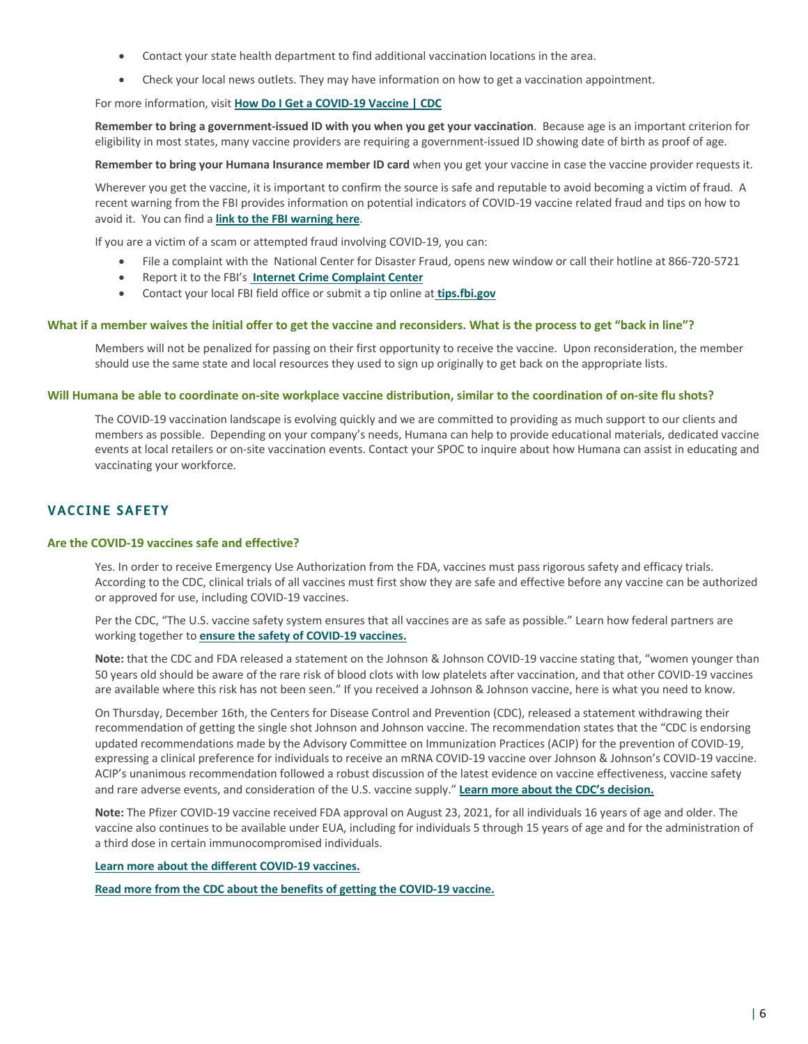- Contact your state health department to find additional vaccination locations in the area.
- Check your local news outlets. They may have information on how to get a vaccination appointment.

# For more information, visit **[How Do I Get a COVID-19 Vaccine | CDC](https://www.cdc.gov/coronavirus/2019-ncov/vaccines/How-Do-I-Get-a-COVID-19-Vaccine.html)**

**Remember to bring a government-issued ID with you when you get your vaccination**. Because age is an important criterion for eligibility in most states, many vaccine providers are requiring a government-issued ID showing date of birth as proof of age.

**Remember to bring your Humana Insurance member ID card** when you get your vaccine in case the vaccine provider requests it.

Wherever you get the vaccine, it is important to confirm the source is safe and reputable to avoid becoming a victim of fraud. A recent warning from the FBI provides information on potential indicators of COVID-19 vaccine related fraud and tips on how to avoid it. You can find a **[link to the FBI warning here](https://www.fbi.gov/news/pressrel/press-releases/federal-agencies-warn-of-emerging-fraud-schemes-related-to-covid-19-vaccines)**.

If you are a victim of a scam or attempted fraud involving COVID-19, you can:

- File a complaint with the National Center for Disaster Fraud, opens new window or call their hotline at 866-720-5721
- Report it to the FBI's **[Internet Crime Complaint Center](https://www.ic3.gov/default.aspx)**
- Contact your local FBI field office or submit a tip online at **[tips.fbi.gov](https://tips.fbi.gov/)**

## **What if a member waives the initial offer to get the vaccine and reconsiders. What is the process to get "back in line"?**

Members will not be penalized for passing on their first opportunity to receive the vaccine. Upon reconsideration, the member should use the same state and local resources they used to sign up originally to get back on the appropriate lists.

#### **Will Humana be able to coordinate on-site workplace vaccine distribution, similar to the coordination of on-site flu shots?**

The COVID-19 vaccination landscape is evolving quickly and we are committed to providing as much support to our clients and members as possible. Depending on your company's needs, Humana can help to provide educational materials, dedicated vaccine events at local retailers or on-site vaccination events. Contact your SPOC to inquire about how Humana can assist in educating and vaccinating your workforce.

# **VACCINE SAFETY**

# **Are the COVID-19 vaccines safe and effective?**

Yes. In order to receive Emergency Use Authorization from the FDA, vaccines must pass rigorous safety and efficacy trials. According to the CDC, clinical trials of all vaccines must first show they are safe and effective before any vaccine can be authorized or approved for use, including COVID-19 vaccines.

Per the CDC, "The U.S. vaccine safety system ensures that all vaccines are as safe as possible." Learn how federal partners are working together to **[ensure the safety of COVID-19 vaccines.](https://www.cdc.gov/coronavirus/2019-ncov/vaccines/safety.html)**

**Note:** that the CDC and FDA released a statement on the Johnson & Johnson COVID-19 vaccine stating that, "women younger than 50 years old should be aware of the rare risk of blood clots with low platelets after vaccination, and that other COVID-19 vaccines are available where this risk has not been seen." If you received a Johnson & Johnson vaccine, here is what you need to know.

On Thursday, December 16th, the Centers for Disease Control and Prevention (CDC), released a statement withdrawing their recommendation of getting the single shot Johnson and Johnson vaccine. The recommendation states that the "CDC is endorsing updated recommendations made by the Advisory Committee on Immunization Practices (ACIP) for the prevention of COVID-19, expressing a clinical preference for individuals to receive an mRNA COVID-19 vaccine over Johnson & Johnson's COVID-19 vaccine. ACIP's unanimous recommendation followed a robust discussion of the latest evidence on vaccine effectiveness, vaccine safety and rare adverse events, and consideration of the U.S. vaccine supply." **[Learn more about the CDC's decision.](https://www.nytimes.com/2021/12/17/health/cdc-johnson-vaccine-blood-clot.html)**

**Note:** The Pfizer COVID-19 vaccine received FDA approval on August 23, 2021, for all individuals 16 years of age and older. The vaccine also continues to be available under EUA, including for individuals 5 through 15 years of age and for the administration of a third dose in certain immunocompromised individuals.

#### **[Learn more about the different COVID-19 vaccines](https://www.cdc.gov/coronavirus/2019-ncov/vaccines/different-vaccines.html).**

**[Read more from the CDC about the benefits of getting the COVID-19 vaccine.](https://www.cdc.gov/coronavirus/2019-ncov/vaccines/vaccine-benefits.html)**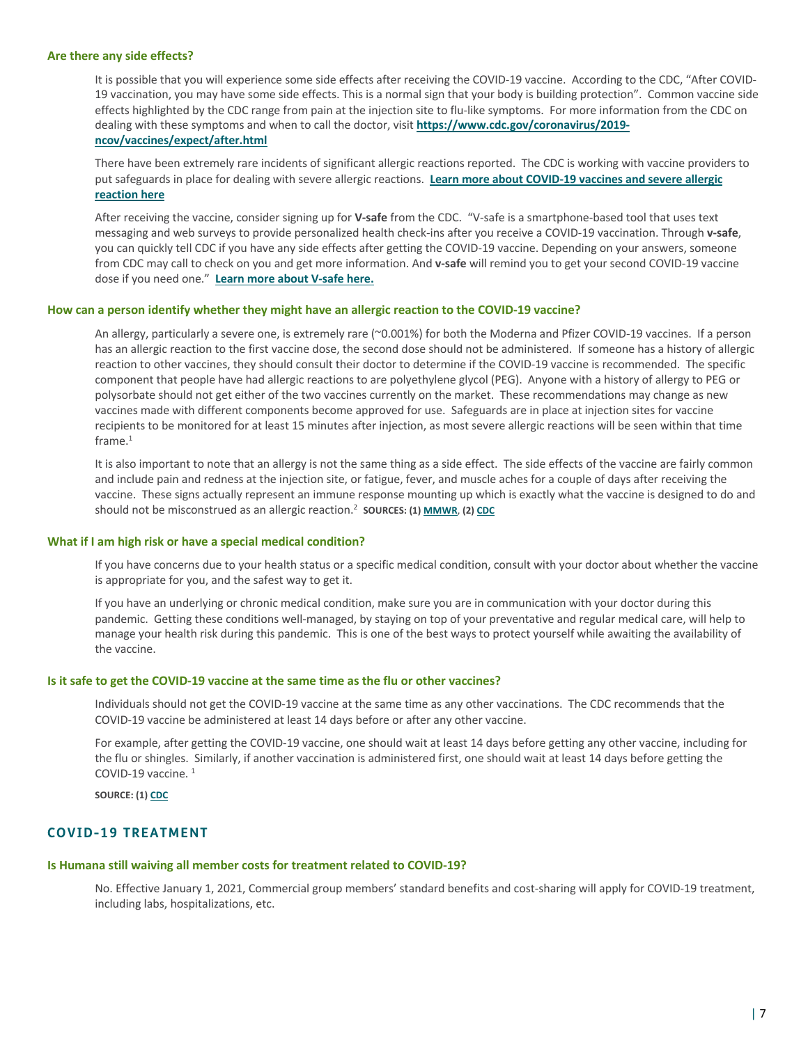#### **Are there any side effects?**

It is possible that you will experience some side effects after receiving the COVID-19 vaccine. According to the CDC, "After COVID-19 vaccination, you may have some side effects. This is a normal sign that your body is building protection". Common vaccine side effects highlighted by the CDC range from pain at the injection site to flu-like symptoms. For more information from the CDC on dealing with these symptoms and when to call the doctor, visit **https://www.cdc.gov/coronavirus/2019 ncov/vaccines/expect/after.html**

There have been extremely rare incidents of significant allergic reactions reported. The CDC is working with vaccine providers to [put safeguards in place for dealing with severe allergic reactions.](https://www.cdc.gov/coronavirus/2019-ncov/vaccines/safety/allergic-reaction.html) **Learn more about COVID-19 vaccines and severe allergic reaction here**

After receiving the vaccine, consider signing up for **V-safe** from the CDC. "V-safe is a smartphone-based tool that uses text messaging and web surveys to provide personalized health check-ins after you receive a COVID-19 vaccination. Through **v-safe**, you can quickly tell CDC if you have any side effects after getting the COVID-19 vaccine. Depending on your answers, someone from CDC may call to check on you and get more information. And **v-safe** will remind you to get your second COVID-19 vaccine dose if you need one." **[Learn more about V-safe here.](https://www.cdc.gov/coronavirus/2019-ncov/vaccines/safety/vsafe.html)**

## **How can a person identify whether they might have an allergic reaction to the COVID-19 vaccine?**

An allergy, particularly a severe one, is extremely rare (~0.001%) for both the Moderna and Pfizer COVID-19 vaccines. If a person has an allergic reaction to the first vaccine dose, the second dose should not be administered. If someone has a history of allergic reaction to other vaccines, they should consult their doctor to determine if the COVID-19 vaccine is recommended. The specific component that people have had allergic reactions to are polyethylene glycol (PEG). Anyone with a history of allergy to PEG or polysorbate should not get either of the two vaccines currently on the market. These recommendations may change as new vaccines made with different components become approved for use. Safeguards are in place at injection sites for vaccine recipients to be monitored for at least 15 minutes after injection, as most severe allergic reactions will be seen within that time  $frame.<sup>1</sup>$ 

It is also important to note that an allergy is not the same thing as a side effect. The side effects of the vaccine are fairly common and include pain and redness at the injection site, or fatigue, fever, and muscle aches for a couple of days after receiving the vaccine. These signs actually represent an immune response mounting up which is exactly what the vaccine is designed to do and should not be misconstrued as an allergic reaction.2 **SOURCES: (1) [MMWR](https://www.cdc.gov/mmwr/volumes/70/wr/mm7002e1.htm)**, **(2) [CDC](https://www.cdc.gov/coronavirus/2019-ncov/vaccines/safety/allergic-reaction.html)**

#### **What if I am high risk or have a special medical condition?**

If you have concerns due to your health status or a specific medical condition, consult with your doctor about whether the vaccine is appropriate for you, and the safest way to get it.

If you have an underlying or chronic medical condition, make sure you are in communication with your doctor during this pandemic. Getting these conditions well-managed, by staying on top of your preventative and regular medical care, will help to manage your health risk during this pandemic. This is one of the best ways to protect yourself while awaiting the availability of the vaccine.

#### **Is it safe to get the COVID-19 vaccine at the same time as the flu or other vaccines?**

Individuals should not get the COVID-19 vaccine at the same time as any other vaccinations. The CDC recommends that the COVID-19 vaccine be administered at least 14 days before or after any other vaccine.

For example, after getting the COVID-19 vaccine, one should wait at least 14 days before getting any other vaccine, including for the flu or shingles. Similarly, if another vaccination is administered first, one should wait at least 14 days before getting the COVID-19 vaccine. 1

**SOURCE: (1) [CDC](https://www.cdc.gov/coronavirus/2019-ncov/vaccines/safety/allergic-reaction.html)**

# **COVID-19 TREATMENT**

#### **Is Humana still waiving all member costs for treatment related to COVID-19?**

No. Effective January 1, 2021, Commercial group members' standard benefits and cost-sharing will apply for COVID-19 treatment, including labs, hospitalizations, etc.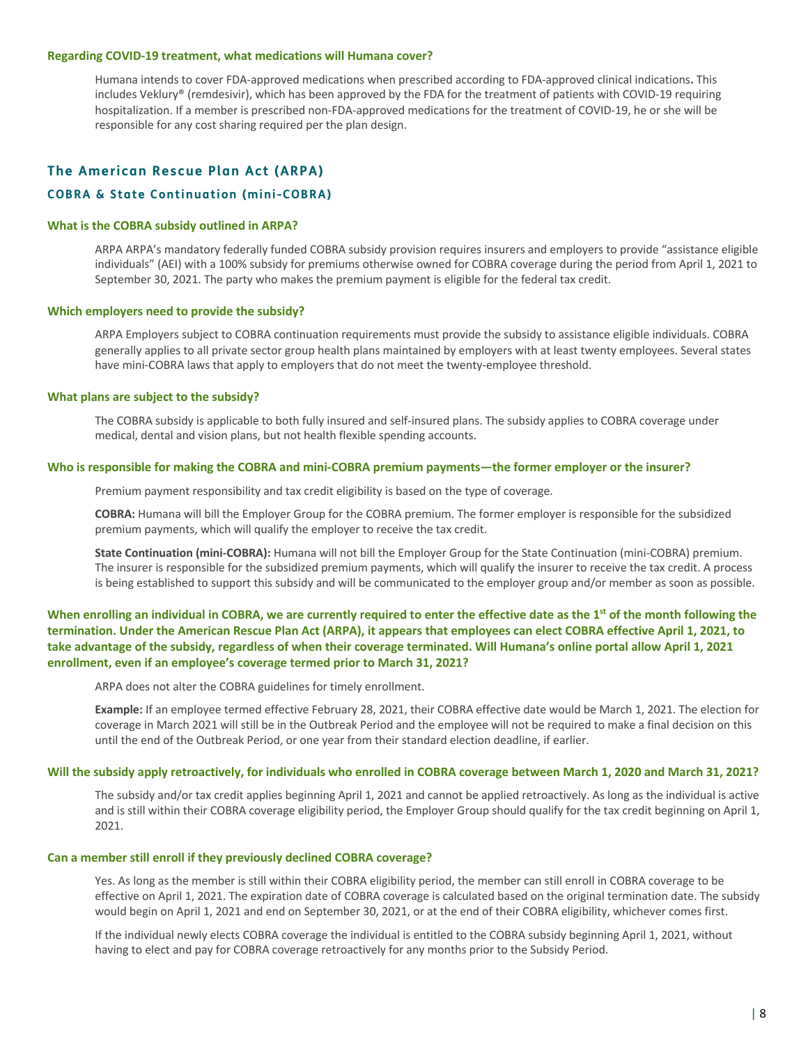#### **Regarding COVID-19 treatment, what medications will Humana cover?**

Humana intends to cover FDA-approved medications when prescribed according to FDA-approved clinical indications**.** This includes Veklury® (remdesivir), which has been approved by the FDA for the treatment of patients with COVID-19 requiring hospitalization. If a member is prescribed non-FDA-approved medications for the treatment of COVID-19, he or she will be responsible for any cost sharing required per the plan design.

# **The American Rescue Plan Act (ARPA)**

## **COBRA & State Continuation (mini-COBRA)**

#### **What is the COBRA subsidy outlined in ARPA?**

ARPA ARPA's mandatory federally funded COBRA subsidy provision requires insurers and employers to provide "assistance eligible individuals" (AEI) with a 100% subsidy for premiums otherwise owned for COBRA coverage during the period from April 1, 2021 to September 30, 2021. The party who makes the premium payment is eligible for the federal tax credit.

#### **Which employers need to provide the subsidy?**

ARPA Employers subject to COBRA continuation requirements must provide the subsidy to assistance eligible individuals. COBRA generally applies to all private sector group health plans maintained by employers with at least twenty employees. Several states have mini-COBRA laws that apply to employers that do not meet the twenty-employee threshold.

## **What plans are subject to the subsidy?**

The COBRA subsidy is applicable to both fully insured and self-insured plans. The subsidy applies to COBRA coverage under medical, dental and vision plans, but not health flexible spending accounts.

#### **Who is responsible for making the COBRA and mini-COBRA premium payments—the former employer or the insurer?**

Premium payment responsibility and tax credit eligibility is based on the type of coverage.

**COBRA:** Humana will bill the Employer Group for the COBRA premium. The former employer is responsible for the subsidized premium payments, which will qualify the employer to receive the tax credit.

**State Continuation (mini-COBRA):** Humana will not bill the Employer Group for the State Continuation (mini-COBRA) premium. The insurer is responsible for the subsidized premium payments, which will qualify the insurer to receive the tax credit. A process is being established to support this subsidy and will be communicated to the employer group and/or member as soon as possible.

When enrolling an individual in COBRA, we are currently required to enter the effective date as the 1<sup>st</sup> of the month following the **termination. Under the American Rescue Plan Act (ARPA), it appears that employees can elect COBRA effective April 1, 2021, to take advantage of the subsidy, regardless of when their coverage terminated. Will Humana's online portal allow April 1, 2021 enrollment, even if an employee's coverage termed prior to March 31, 2021?**

ARPA does not alter the COBRA guidelines for timely enrollment.

**Example:** If an employee termed effective February 28, 2021, their COBRA effective date would be March 1, 2021. The election for coverage in March 2021 will still be in the Outbreak Period and the employee will not be required to make a final decision on this until the end of the Outbreak Period, or one year from their standard election deadline, if earlier.

#### **Will the subsidy apply retroactively, for individuals who enrolled in COBRA coverage between March 1, 2020 and March 31, 2021?**

The subsidy and/or tax credit applies beginning April 1, 2021 and cannot be applied retroactively. As long as the individual is active and is still within their COBRA coverage eligibility period, the Employer Group should qualify for the tax credit beginning on April 1, 2021.

#### **Can a member still enroll if they previously declined COBRA coverage?**

Yes. As long as the member is still within their COBRA eligibility period, the member can still enroll in COBRA coverage to be effective on April 1, 2021. The expiration date of COBRA coverage is calculated based on the original termination date. The subsidy would begin on April 1, 2021 and end on September 30, 2021, or at the end of their COBRA eligibility, whichever comes first.

If the individual newly elects COBRA coverage the individual is entitled to the COBRA subsidy beginning April 1, 2021, without having to elect and pay for COBRA coverage retroactively for any months prior to the Subsidy Period.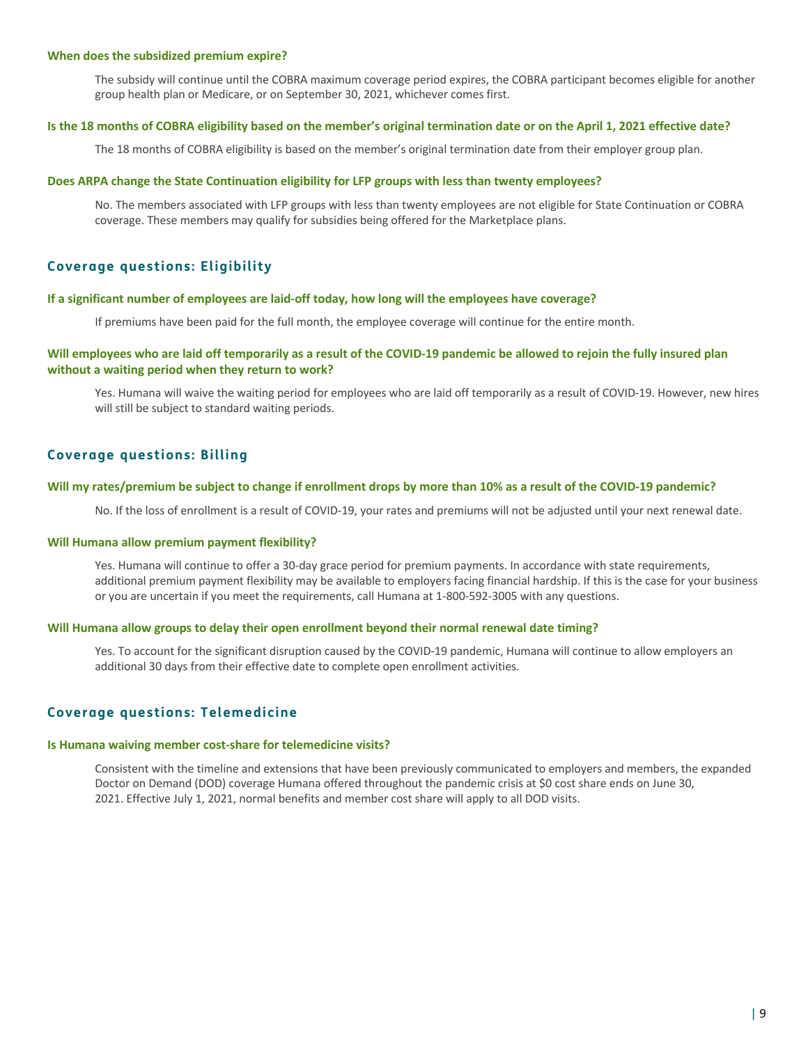#### **When does the subsidized premium expire?**

The subsidy will continue until the COBRA maximum coverage period expires, the COBRA participant becomes eligible for another group health plan or Medicare, or on September 30, 2021, whichever comes first.

## **Is the 18 months of COBRA eligibility based on the member's original termination date or on the April 1, 2021 effective date?**

The 18 months of COBRA eligibility is based on the member's original termination date from their employer group plan.

## **Does ARPA change the State Continuation eligibility for LFP groups with less than twenty employees?**

No. The members associated with LFP groups with less than twenty employees are not eligible for State Continuation or COBRA coverage. These members may qualify for subsidies being offered for the Marketplace plans.

# **Coverage questions: Eligibility**

#### **If a significant number of employees are laid-off today, how long will the employees have coverage?**

If premiums have been paid for the full month, the employee coverage will continue for the entire month.

# **Will employees who are laid off temporarily as a result of the COVID-19 pandemic be allowed to rejoin the fully insured plan without a waiting period when they return to work?**

Yes. Humana will waive the waiting period for employees who are laid off temporarily as a result of COVID-19. However, new hires will still be subject to standard waiting periods.

# **Coverage questions: Billing**

#### **Will my rates/premium be subject to change if enrollment drops by more than 10% as a result of the COVID-19 pandemic?**

No. If the loss of enrollment is a result of COVID-19, your rates and premiums will not be adjusted until your next renewal date.

#### **Will Humana allow premium payment flexibility?**

Yes. Humana will continue to offer a 30-day grace period for premium payments. In accordance with state requirements, additional premium payment flexibility may be available to employers facing financial hardship. If this is the case for your business or you are uncertain if you meet the requirements, call Humana at 1-800-592-3005 with any questions.

#### **Will Humana allow groups to delay their open enrollment beyond their normal renewal date timing?**

Yes. To account for the significant disruption caused by the COVID-19 pandemic, Humana will continue to allow employers an additional 30 days from their effective date to complete open enrollment activities.

# **Coverage questions: Telemedicine**

#### **Is Humana waiving member cost-share for telemedicine visits?**

Consistent with the timeline and extensions that have been previously communicated to employers and members, the expanded Doctor on Demand (DOD) coverage Humana offered throughout the pandemic crisis at \$0 cost share ends on June 30, 2021. Effective July 1, 2021, normal benefits and member cost share will apply to all DOD visits.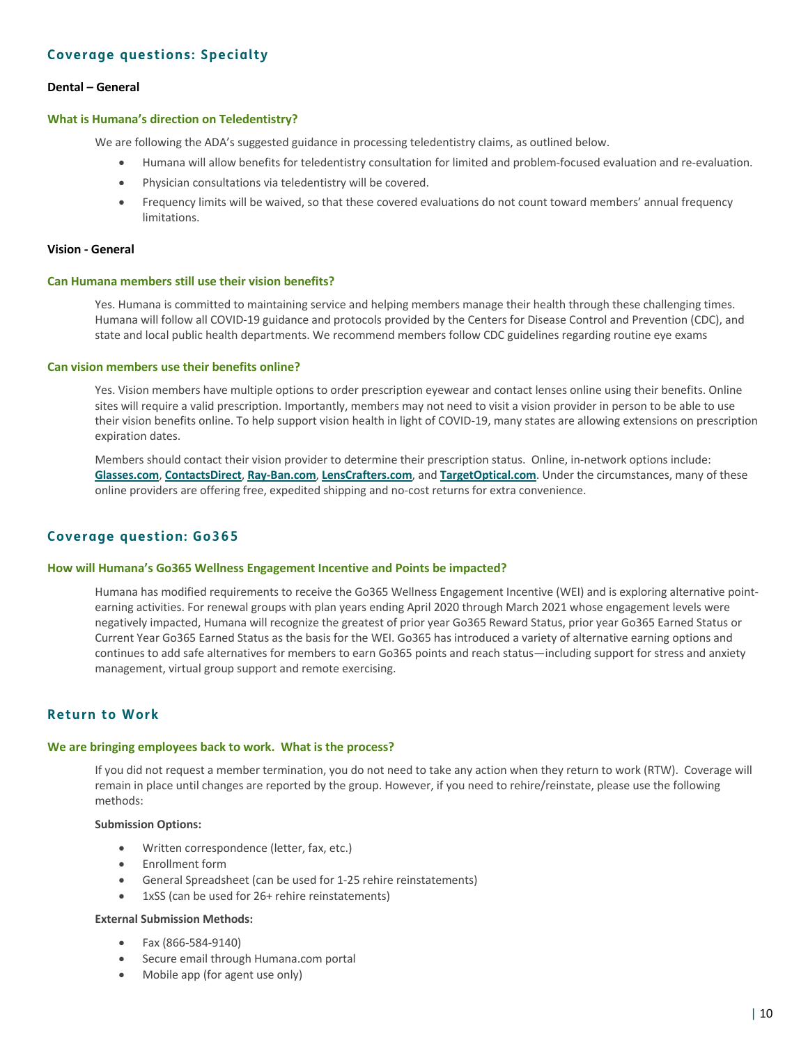# **Coverage questions: Specialty**

# **Dental – General**

## **What is Humana's direction on Teledentistry?**

We are following the ADA's suggested guidance in processing teledentistry claims, as outlined below.

- Humana will allow benefits for teledentistry consultation for limited and problem-focused evaluation and re-evaluation.
- Physician consultations via teledentistry will be covered.
- Frequency limits will be waived, so that these covered evaluations do not count toward members' annual frequency limitations.

#### **Vision - General**

#### **Can Humana members still use their vision benefits?**

Yes. Humana is committed to maintaining service and helping members manage their health through these challenging times. Humana will follow all COVID-19 guidance and protocols provided by the Centers for Disease Control and Prevention (CDC), and state and local public health departments. We recommend members follow CDC guidelines regarding routine eye exams

#### **Can vision members use their benefits online?**

Yes. Vision members have multiple options to order prescription eyewear and contact lenses online using their benefits. Online sites will require a valid prescription. Importantly, members may not need to visit a vision provider in person to be able to use their vision benefits online. To help support vision health in light of COVID-19, many states are allowing extensions on prescription expiration dates.

Members should contact their vision provider to determine their prescription status. Online, in-network options include: **[Glasses.com](https://www.glasses.com/?utm_source=eyemed.com-website&utm_medium=corona-virus&utm_campaign=client-faqs&utm_term=body&utm_content=glasses.com)**, **[ContactsDirect](https://www.contactsdirect.com/?utm_source=eyemed.com-website&utm_medium=corona-virus&utm_campaign=client-faqs&utm_term=body&utm_content=contactsdirect)**, **[Ray-Ban.com](https://www.ray-ban.com/?utm_source=eyemed.com-website&utm_medium=corona-virus&utm_campaign=client-faqs&utm_term=body&utm_content=ray-ban.com)**, **[LensCrafters.com](https://www.lenscrafters.com/?utm_source=eyemed.com-website&utm_medium=corona-virus&utm_campaign=client-faqs&utm_term=body&utm_content=lenscrafters.com)**, and **[TargetOptical.com](https://www.targetoptical.com/?utm_source=eyemed.com-website&utm_medium=corona-virus&utm_campaign=client-faqs&utm_term=body&utm_content=targetoptical.com)**. Under the circumstances, many of these online providers are offering free, expedited shipping and no-cost returns for extra convenience.

# **Coverage question: Go365**

#### **How will Humana's Go365 Wellness Engagement Incentive and Points be impacted?**

Humana has modified requirements to receive the Go365 Wellness Engagement Incentive (WEI) and is exploring alternative pointearning activities. For renewal groups with plan years ending April 2020 through March 2021 whose engagement levels were negatively impacted, Humana will recognize the greatest of prior year Go365 Reward Status, prior year Go365 Earned Status or Current Year Go365 Earned Status as the basis for the WEI. Go365 has introduced a variety of alternative earning options and continues to add safe alternatives for members to earn Go365 points and reach status—including support for stress and anxiety management, virtual group support and remote exercising.

# **Return to Work**

### **We are bringing employees back to work. What is the process?**

If you did not request a member termination, you do not need to take any action when they return to work (RTW). Coverage will remain in place until changes are reported by the group. However, if you need to rehire/reinstate, please use the following methods:

#### **Submission Options:**

- Written correspondence (letter, fax, etc.)
- Enrollment form
- General Spreadsheet (can be used for 1-25 rehire reinstatements)
- 1xSS (can be used for 26+ rehire reinstatements)

# **External Submission Methods:**

- Fax (866-584-9140)
- Secure email through Humana.com portal
- Mobile app (for agent use only)